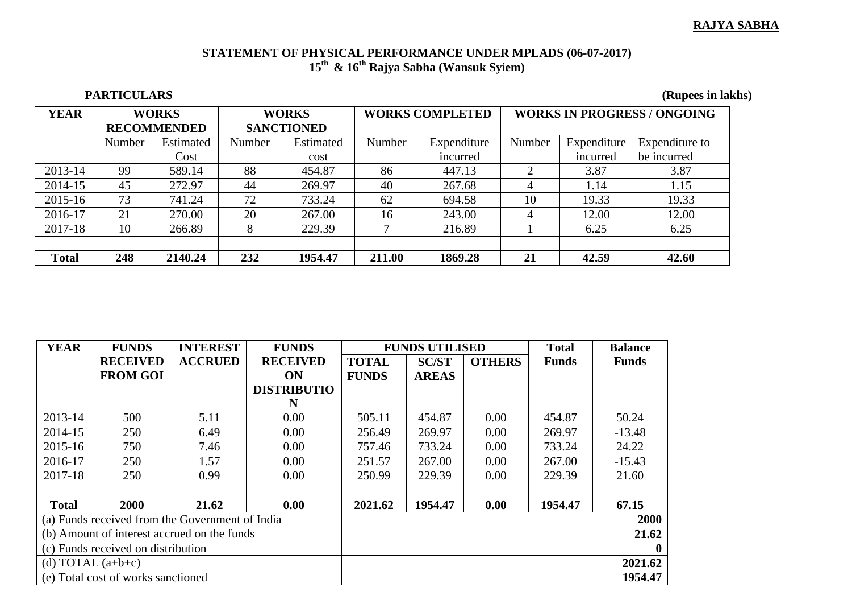## **RAJYA SABHA**

## **STATEMENT OF PHYSICAL PERFORMANCE UNDER MPLADS (06-07-2017) 15th & 16th Rajya Sabha (Wansuk Syiem)**

**PARTICULARS** (Rupees in lakhs)

| <b>YEAR</b>  | <b>WORKS</b>       |           | <b>WORKS</b>      |           | <b>WORKS COMPLETED</b> |             | <b>WORKS IN PROGRESS / ONGOING</b> |             |                |
|--------------|--------------------|-----------|-------------------|-----------|------------------------|-------------|------------------------------------|-------------|----------------|
|              | <b>RECOMMENDED</b> |           | <b>SANCTIONED</b> |           |                        |             |                                    |             |                |
|              | Number             | Estimated | Number            | Estimated | Number                 | Expenditure | Number                             | Expenditure | Expenditure to |
|              |                    | Cost      |                   | cost      |                        | incurred    |                                    | incurred    | be incurred    |
| 2013-14      | 99                 | 589.14    | 88                | 454.87    | 86                     | 447.13      | 2                                  | 3.87        | 3.87           |
| 2014-15      | 45                 | 272.97    | 44                | 269.97    | 40                     | 267.68      |                                    | 1.14        | 1.15           |
| 2015-16      | 73                 | 741.24    | 72                | 733.24    | 62                     | 694.58      | 10                                 | 19.33       | 19.33          |
| 2016-17      | 21                 | 270.00    | 20                | 267.00    | 16                     | 243.00      |                                    | 12.00       | 12.00          |
| 2017-18      | 10                 | 266.89    | 8                 | 229.39    |                        | 216.89      |                                    | 6.25        | 6.25           |
|              |                    |           |                   |           |                        |             |                                    |             |                |
| <b>Total</b> | 248                | 2140.24   | 232               | 1954.47   | 211.00                 | 1869.28     | 21                                 | 42.59       | 42.60          |

| <b>YEAR</b>                                 | <b>FUNDS</b>                                    | <b>INTEREST</b> | <b>FUNDS</b>       | <b>FUNDS UTILISED</b> |              |               | <b>Total</b> | <b>Balance</b> |
|---------------------------------------------|-------------------------------------------------|-----------------|--------------------|-----------------------|--------------|---------------|--------------|----------------|
|                                             | <b>RECEIVED</b>                                 | <b>ACCRUED</b>  | <b>RECEIVED</b>    | <b>TOTAL</b>          | <b>SC/ST</b> | <b>OTHERS</b> | <b>Funds</b> | <b>Funds</b>   |
|                                             | <b>FROM GOI</b>                                 |                 | ON                 | <b>FUNDS</b>          | <b>AREAS</b> |               |              |                |
|                                             |                                                 |                 | <b>DISTRIBUTIO</b> |                       |              |               |              |                |
|                                             |                                                 |                 | N                  |                       |              |               |              |                |
| 2013-14                                     | 500                                             | 5.11            | 0.00               | 505.11                | 454.87       | 0.00          | 454.87       | 50.24          |
| 2014-15                                     | 250                                             | 6.49            | 0.00               | 256.49                | 269.97       | 0.00          | 269.97       | $-13.48$       |
| 2015-16                                     | 750                                             | 7.46            | 0.00               | 757.46                | 733.24       | 0.00          | 733.24       | 24.22          |
| 2016-17                                     | 250                                             | 1.57            | 0.00               | 251.57                | 267.00       | 0.00          | 267.00       | $-15.43$       |
| 2017-18                                     | 250                                             | 0.99            | 0.00               | 250.99                | 229.39       | 0.00          | 229.39       | 21.60          |
|                                             |                                                 |                 |                    |                       |              |               |              |                |
| <b>Total</b>                                | 2000                                            | 21.62           | 0.00               | 2021.62               | 1954.47      | 0.00          | 1954.47      | 67.15          |
|                                             | (a) Funds received from the Government of India |                 |                    |                       |              |               | 2000         |                |
| (b) Amount of interest accrued on the funds |                                                 |                 |                    | 21.62                 |              |               |              |                |
| (c) Funds received on distribution          |                                                 |                 |                    |                       |              |               |              |                |
| (d) TOTAL $(a+b+c)$                         |                                                 |                 |                    | 2021.62               |              |               |              |                |
|                                             | (e) Total cost of works sanctioned              |                 |                    |                       |              |               | 1954.47      |                |